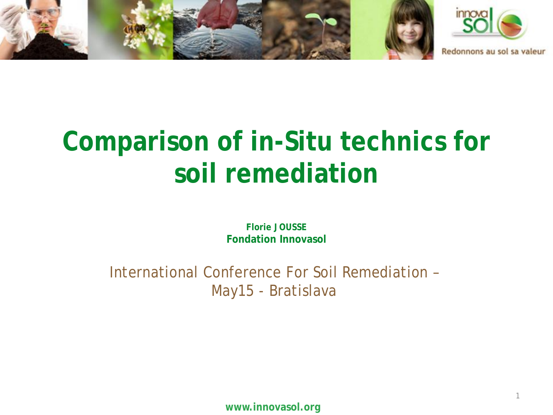

# **Comparison of in-Situ technics for soil remediation**

**Florie JOUSSE Fondation Innovasol**

International Conference For Soil Remediation – May15 - Bratislava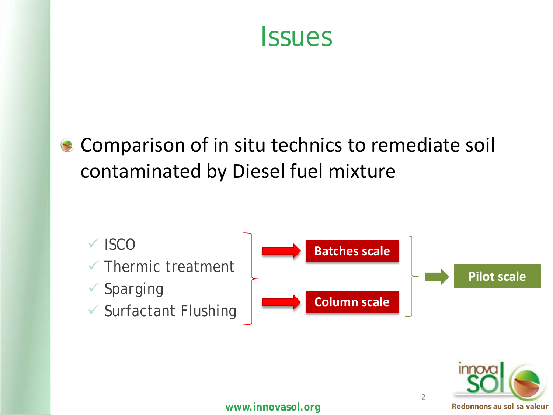

#### Comparison of in situ technics to remediate soil contaminated by Diesel fuel mixture



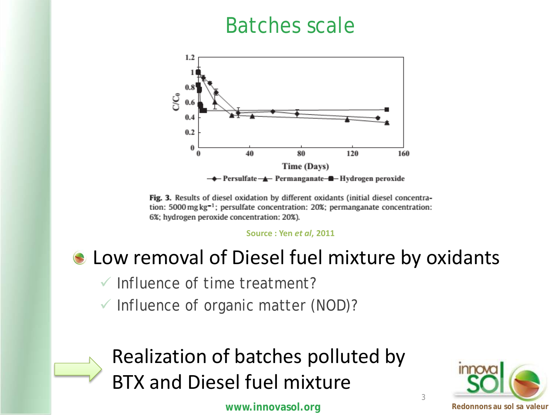#### Batches scale



Fig. 3. Results of diesel oxidation by different oxidants (initial diesel concentration: 5000 mg kg<sup>-1</sup>; persulfate concentration: 20%; permanganate concentration: 6%; hydrogen peroxide concentration: 20%).

**Source : Yen** *et al***, 2011**

#### Low removal of Diesel fuel mixture by oxidants

 $\checkmark$  Influence of time treatment?

 $\checkmark$  Influence of organic matter (NOD)?



Realization of batches polluted by BTX and Diesel fuel mixture

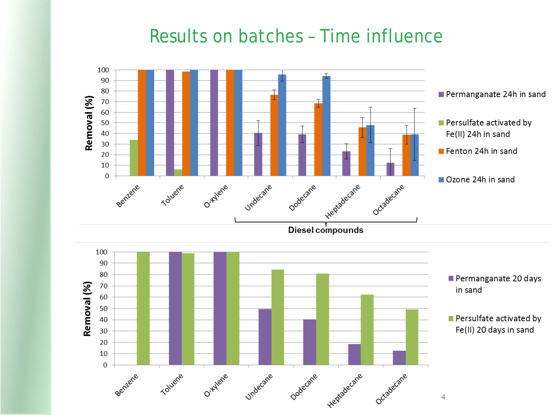#### Results on batches – Time influence

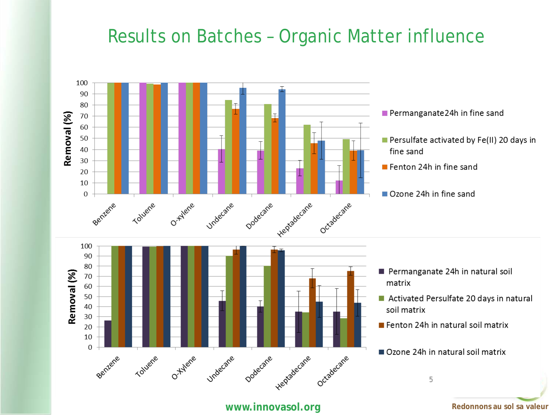#### Results on Batches – Organic Matter influence



**WWW.innovasol.org Redonnons au sol sa valeur**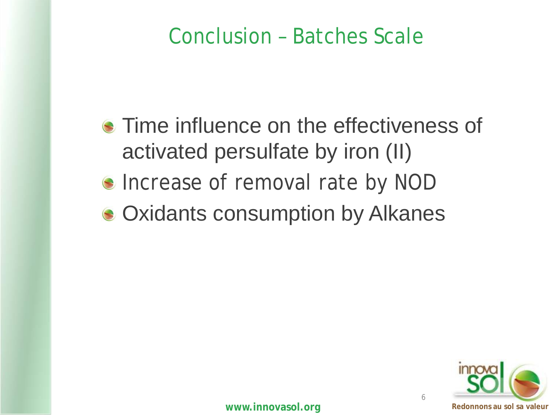#### Conclusion – Batches Scale

**• Time influence on the effectiveness of** activated persulfate by iron (II)

- **Increase of removal rate by NOD**
- Oxidants consumption by Alkanes



6

**WWW.innovasol.org Redonnons au sol sa valeur Redonnons au sol sa valeur**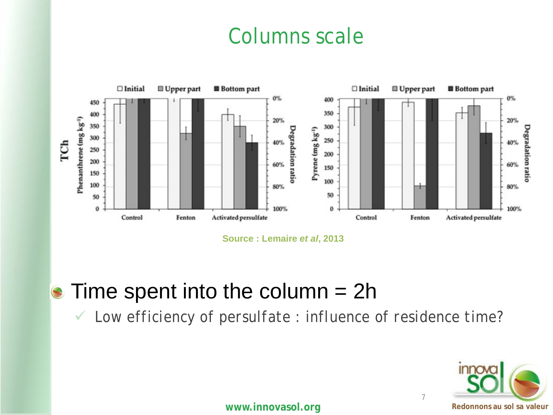#### Columns scale



**Source : Lemaire** *et al***, 2013**

 $\bullet$  Time spent into the column = 2h

*Low efficiency of persulfate : influence of residence time?*

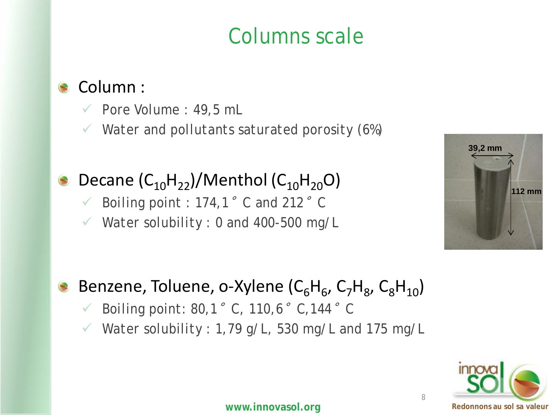#### Columns scale

#### Column :

- *Pore Volume : 49,5 mL*
- *Water and pollutants saturated porosity (6%)*

#### Decane  $(C_{10}H_{22})/$ Menthol  $(C_{10}H_{20}O)$

- *V* Boiling point : 174,1 $\degree$  C and 212 $\degree$  C
- *Water solubility : 0 and 400-500 mg/L*



#### Benzene, Toluene, o-Xylene ( $C_6H_6$ ,  $C_7H_8$ ,  $C_8H_{10}$ )

- *Boiling point: 80,1*°*C, 110,6*°*C,144*°*C*
- *Water solubility : 1,79 g/L, 530 mg/L and 175 mg/L*

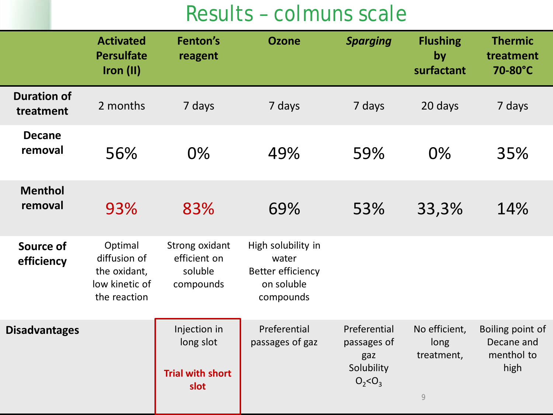## Results – colmuns scale

|                                 | <b>Activated</b><br><b>Persulfate</b><br>Iron (II)                        | Fenton's<br>reagent                                          | <b>Ozone</b>                                                                       | <b>Sparging</b>                                                 | <b>Flushing</b><br>by<br>surfactant          | <b>Thermic</b><br>treatment<br>70-80°C               |
|---------------------------------|---------------------------------------------------------------------------|--------------------------------------------------------------|------------------------------------------------------------------------------------|-----------------------------------------------------------------|----------------------------------------------|------------------------------------------------------|
| <b>Duration of</b><br>treatment | 2 months                                                                  | 7 days                                                       | 7 days                                                                             | 7 days                                                          | 20 days                                      | 7 days                                               |
| <b>Decane</b><br>removal        | 56%                                                                       | $0\%$                                                        | 49%                                                                                | 59%                                                             | 0%                                           | 35%                                                  |
| <b>Menthol</b><br>removal       | 93%                                                                       | 83%                                                          | 69%                                                                                | 53%                                                             | 33,3%                                        | 14%                                                  |
| Source of<br>efficiency         | Optimal<br>diffusion of<br>the oxidant,<br>low kinetic of<br>the reaction | Strong oxidant<br>efficient on<br>soluble<br>compounds       | High solubility in<br>water<br><b>Better efficiency</b><br>on soluble<br>compounds |                                                                 |                                              |                                                      |
| <b>Disadvantages</b>            |                                                                           | Injection in<br>long slot<br><b>Trial with short</b><br>slot | Preferential<br>passages of gaz                                                    | Preferential<br>passages of<br>gaz<br>Solubility<br>$O_2 < O_3$ | No efficient,<br>long<br>treatment,<br>$\,9$ | Boiling point of<br>Decane and<br>menthol to<br>high |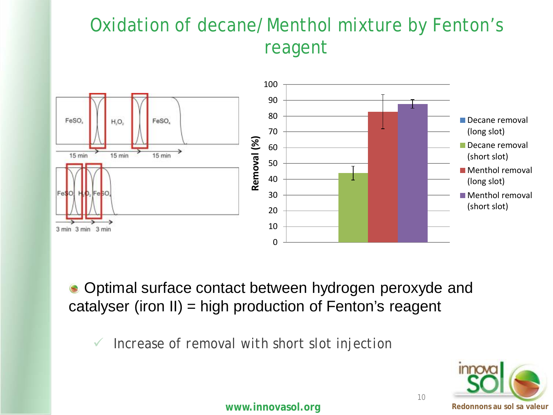#### Oxidation of decane/Menthol mixture by Fenton's reagent



Optimal surface contact between hydrogen peroxyde and catalyser (iron II) = high production of Fenton's reagent

*Increase of removal with short slot injection*



10

**WWW.innovasol.org Redonnons au sol sa valeur Redonnons au sol sa valeur**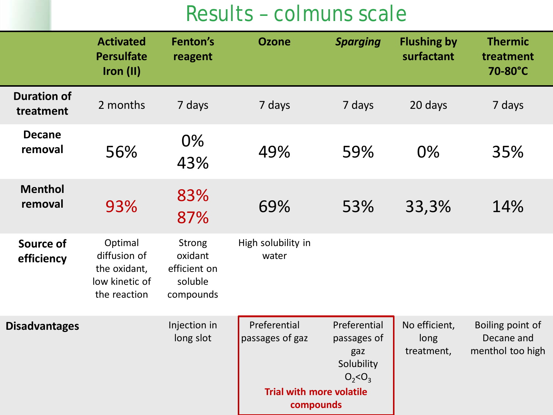## Results – colmuns scale

|                                 | <b>Activated</b><br><b>Persulfate</b><br>Iron (II)                        | Fenton's<br>reagent                                       | <b>Ozone</b>                                                                    | <b>Sparging</b>                                                 | <b>Flushing by</b><br>surfactant    | <b>Thermic</b><br>treatment<br>70-80°C             |
|---------------------------------|---------------------------------------------------------------------------|-----------------------------------------------------------|---------------------------------------------------------------------------------|-----------------------------------------------------------------|-------------------------------------|----------------------------------------------------|
| <b>Duration of</b><br>treatment | 2 months                                                                  | 7 days                                                    | 7 days                                                                          | 7 days                                                          | 20 days                             | 7 days                                             |
| <b>Decane</b><br>removal        | 56%                                                                       | 0%<br>43%                                                 | 49%                                                                             | 59%                                                             | 0%                                  | 35%                                                |
| <b>Menthol</b><br>removal       | 93%                                                                       | 83%<br>87%                                                | 69%                                                                             | 53%                                                             | 33,3%                               | 14%                                                |
| <b>Source of</b><br>efficiency  | Optimal<br>diffusion of<br>the oxidant,<br>low kinetic of<br>the reaction | Strong<br>oxidant<br>efficient on<br>soluble<br>compounds | High solubility in<br>water                                                     |                                                                 |                                     |                                                    |
| <b>Disadvantages</b>            |                                                                           | Injection in<br>long slot                                 | Preferential<br>passages of gaz<br><b>Trial with more volatile</b><br>compounds | Preferential<br>passages of<br>gaz<br>Solubility<br>$O_2 < O_3$ | No efficient,<br>long<br>treatment, | Boiling point of<br>Decane and<br>menthol too high |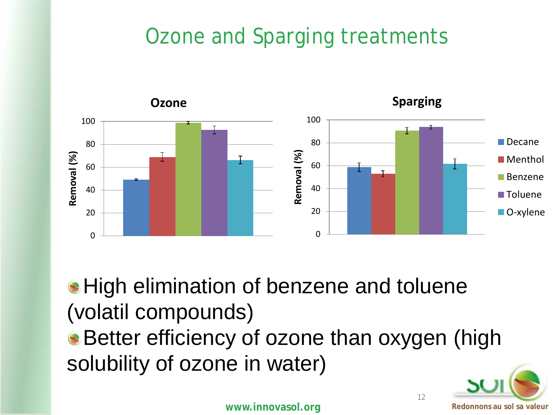## Ozone and Sparging treatments



**High elimination of benzene and toluene** (volatil compounds) Better efficiency of ozone than oxygen (high solubility of ozone in water)



12

**WWW.innovasol.org Redonnons au sol sa valeur Redonnons au sol sa valeur**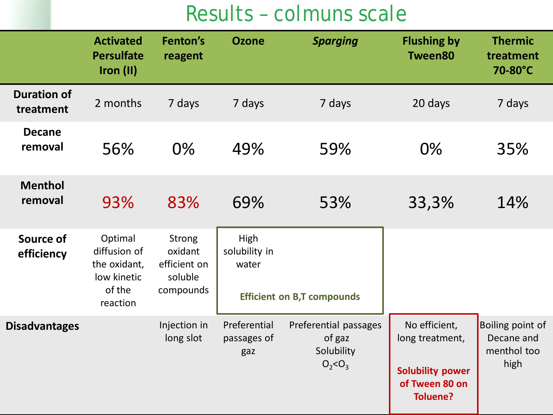## Results – colmuns scale

|                                 | <b>Activated</b><br><b>Persulfate</b><br>Iron (II)                           | Fenton's<br>reagent                                              | <b>Ozone</b>                       | <b>Sparging</b>                                              | <b>Flushing by</b><br><b>Tween80</b>                                                             | <b>Thermic</b><br>treatment<br>70-80°C                |
|---------------------------------|------------------------------------------------------------------------------|------------------------------------------------------------------|------------------------------------|--------------------------------------------------------------|--------------------------------------------------------------------------------------------------|-------------------------------------------------------|
| <b>Duration of</b><br>treatment | 2 months                                                                     | 7 days                                                           | 7 days                             | 7 days                                                       | 20 days                                                                                          | 7 days                                                |
| <b>Decane</b><br>removal        | 56%                                                                          | $0\%$                                                            | 49%                                | 59%                                                          | $0\%$                                                                                            | 35%                                                   |
| <b>Menthol</b><br>removal       | 93%                                                                          | 83%                                                              | 69%                                | 53%                                                          | 33,3%                                                                                            | 14%                                                   |
| Source of<br>efficiency         | Optimal<br>diffusion of<br>the oxidant,<br>low kinetic<br>of the<br>reaction | <b>Strong</b><br>oxidant<br>efficient on<br>soluble<br>compounds | High<br>solubility in<br>water     | <b>Efficient on B,T compounds</b>                            |                                                                                                  |                                                       |
| <b>Disadvantages</b>            |                                                                              | Injection in<br>long slot                                        | Preferential<br>passages of<br>gaz | Preferential passages<br>of gaz<br>Solubility<br>$O_2 < O_3$ | No efficient,<br>long treatment,<br><b>Solubility power</b><br>of Tween 80 on<br><b>Toluene?</b> | Boiling point of<br>Decane and<br>menthol too<br>high |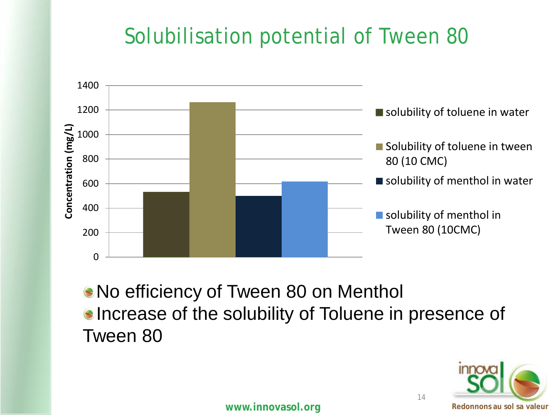## Solubilisation potential of Tween 80



No efficiency of Tween 80 on Menthol **Increase of the solubility of Toluene in presence of** Tween 80

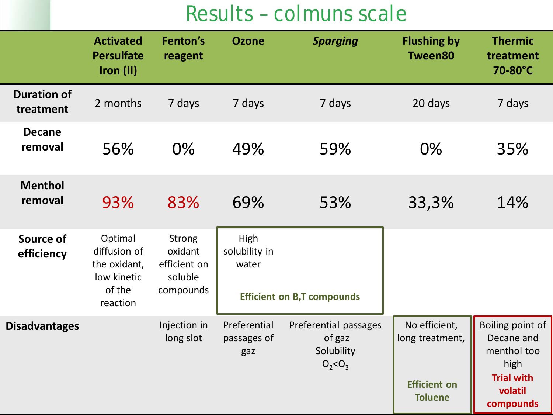#### Results – colmuns scale

|                                 | <b>Activated</b><br><b>Persulfate</b><br>Iron (II)                           | Fenton's<br>reagent                                              | <b>Ozone</b>                       | <b>Sparging</b>                                              | <b>Flushing by</b><br><b>Tween80</b>                                      | <b>Thermic</b><br>treatment<br>70-80°C                                                             |
|---------------------------------|------------------------------------------------------------------------------|------------------------------------------------------------------|------------------------------------|--------------------------------------------------------------|---------------------------------------------------------------------------|----------------------------------------------------------------------------------------------------|
| <b>Duration of</b><br>treatment | 2 months                                                                     | 7 days                                                           | 7 days                             | 7 days                                                       | 20 days                                                                   | 7 days                                                                                             |
| <b>Decane</b><br>removal        | 56%                                                                          | $0\%$                                                            | 49%                                | 59%                                                          | $0\%$                                                                     | 35%                                                                                                |
| <b>Menthol</b><br>removal       | 93%                                                                          | 83%                                                              | 69%                                | 53%                                                          | 33,3%                                                                     | 14%                                                                                                |
| Source of<br>efficiency         | Optimal<br>diffusion of<br>the oxidant,<br>low kinetic<br>of the<br>reaction | <b>Strong</b><br>oxidant<br>efficient on<br>soluble<br>compounds | High<br>solubility in<br>water     | <b>Efficient on B,T compounds</b>                            |                                                                           |                                                                                                    |
| <b>Disadvantages</b>            |                                                                              | Injection in<br>long slot                                        | Preferential<br>passages of<br>gaz | Preferential passages<br>of gaz<br>Solubility<br>$O_2 < O_3$ | No efficient,<br>long treatment,<br><b>Efficient on</b><br><b>Toluene</b> | Boiling point of<br>Decane and<br>menthol too<br>high<br><b>Trial with</b><br>volatil<br>compounds |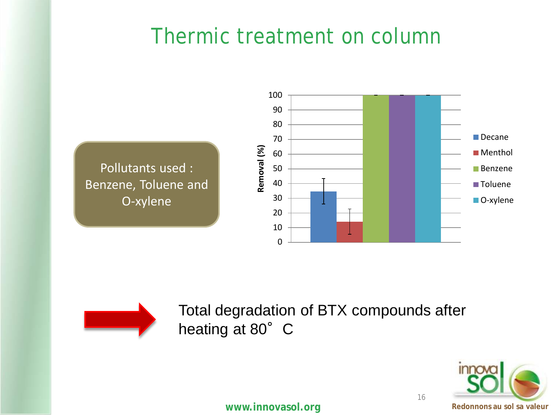#### Thermic treatment on column





Total degradation of BTX compounds after heating at 80° C

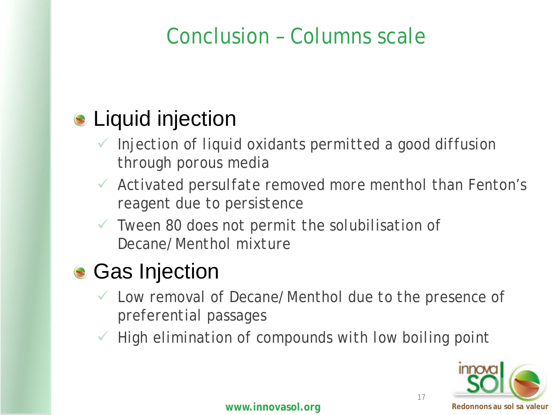#### Conclusion – Columns scale

## **Liquid injection**

- *Injection of liquid oxidants permitted a good diffusion through porous media*
- *Activated persulfate removed more menthol than Fenton's reagent due to persistence*
- *Tween 80 does not permit the solubilisation of Decane/Menthol mixture*

## **Gas Injection**

- *Low removal of Decane/Menthol due to the presence of preferential passages*
- *High elimination of compounds with low boiling point*

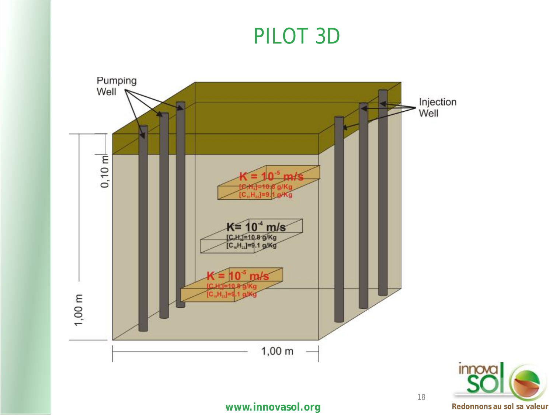#### PILOT 3D



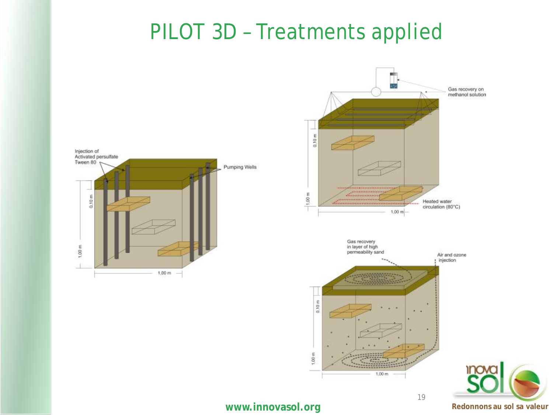#### PILOT 3D – Treatments applied





#### **WWW.innovasol.org Redonnons au sol sa valeur Redonnons au sol sa valeur**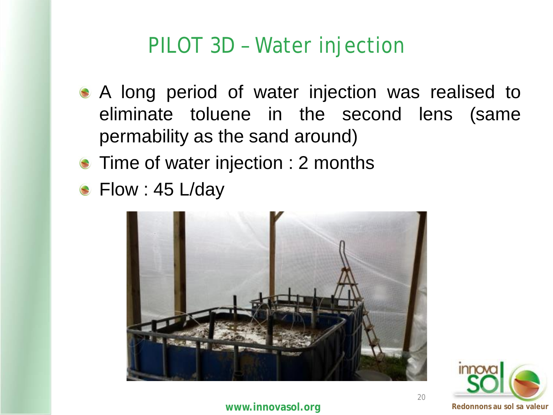#### PILOT 3D – Water injection

- A long period of water injection was realised to eliminate toluene in the second lens (same permability as the sand around)
- **Time of water injection : 2 months**
- **Flow : 45 L/day**



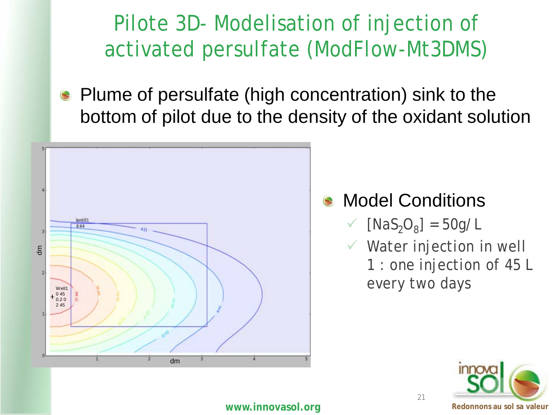## Pilote 3D- Modelisation of injection of activated persulfate (ModFlow-Mt3DMS)

• Plume of persulfate (high concentration) sink to the bottom of pilot due to the density of the oxidant solution



#### Model Conditions

 $\sqrt{[Nas_2O_8]} = 50g/L$ 

21

 *Water injection in well 1 : one injection of 45 L* 

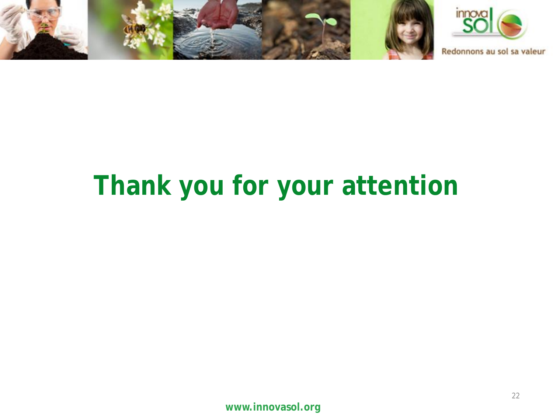





Redonnons au sol sa valeur

# **Thank you for your attention**

**www.innovasol.org**